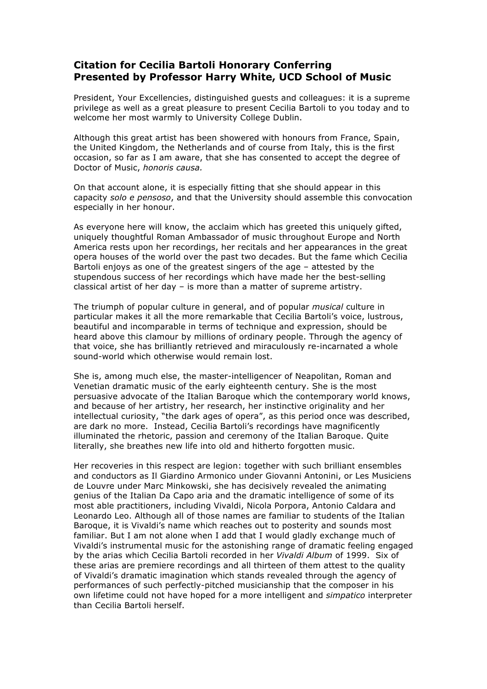## **Citation for Cecilia Bartoli Honorary Conferring Presented by Professor Harry White, UCD School of Music**

President, Your Excellencies, distinguished guests and colleagues: it is a supreme privilege as well as a great pleasure to present Cecilia Bartoli to you today and to welcome her most warmly to University College Dublin.

Although this great artist has been showered with honours from France, Spain, the United Kingdom, the Netherlands and of course from Italy, this is the first occasion, so far as I am aware, that she has consented to accept the degree of Doctor of Music, *honoris causa.*

On that account alone, it is especially fitting that she should appear in this capacity *solo e pensoso*, and that the University should assemble this convocation especially in her honour.

As everyone here will know, the acclaim which has greeted this uniquely gifted, uniquely thoughtful Roman Ambassador of music throughout Europe and North America rests upon her recordings, her recitals and her appearances in the great opera houses of the world over the past two decades. But the fame which Cecilia Bartoli enjoys as one of the greatest singers of the age – attested by the stupendous success of her recordings which have made her the best-selling classical artist of her day – is more than a matter of supreme artistry.

The triumph of popular culture in general, and of popular *musical* culture in particular makes it all the more remarkable that Cecilia Bartoli's voice, lustrous, beautiful and incomparable in terms of technique and expression, should be heard above this clamour by millions of ordinary people. Through the agency of that voice, she has brilliantly retrieved and miraculously re-incarnated a whole sound-world which otherwise would remain lost.

She is, among much else, the master-intelligencer of Neapolitan, Roman and Venetian dramatic music of the early eighteenth century. She is the most persuasive advocate of the Italian Baroque which the contemporary world knows, and because of her artistry, her research, her instinctive originality and her intellectual curiosity, "the dark ages of opera", as this period once was described, are dark no more. Instead, Cecilia Bartoli's recordings have magnificently illuminated the rhetoric, passion and ceremony of the Italian Baroque. Quite literally, she breathes new life into old and hitherto forgotten music.

Her recoveries in this respect are legion: together with such brilliant ensembles and conductors as Il Giardino Armonico under Giovanni Antonini, or Les Musiciens de Louvre under Marc Minkowski, she has decisively revealed the animating genius of the Italian Da Capo aria and the dramatic intelligence of some of its most able practitioners, including Vivaldi, Nicola Porpora, Antonio Caldara and Leonardo Leo. Although all of those names are familiar to students of the Italian Baroque, it is Vivaldi's name which reaches out to posterity and sounds most familiar. But I am not alone when I add that I would gladly exchange much of Vivaldi's instrumental music for the astonishing range of dramatic feeling engaged by the arias which Cecilia Bartoli recorded in her *Vivaldi Album* of 1999. Six of these arias are premiere recordings and all thirteen of them attest to the quality of Vivaldi's dramatic imagination which stands revealed through the agency of performances of such perfectly-pitched musicianship that the composer in his own lifetime could not have hoped for a more intelligent and *simpatico* interpreter than Cecilia Bartoli herself.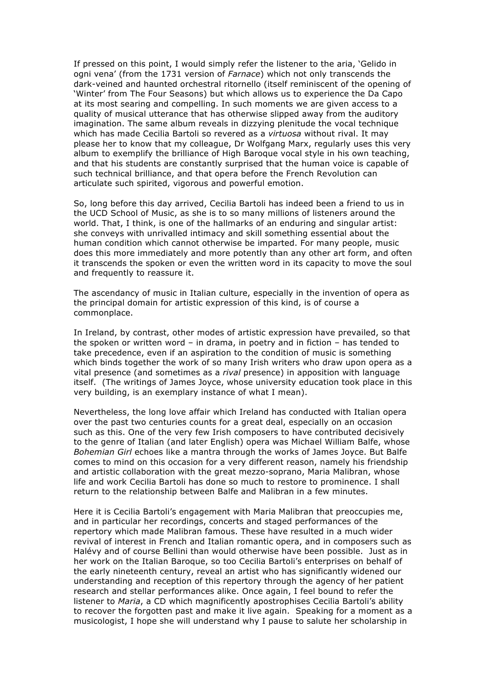If pressed on this point, I would simply refer the listener to the aria, 'Gelido in ogni vena' (from the 1731 version of *Farnace*) which not only transcends the dark-veined and haunted orchestral ritornello (itself reminiscent of the opening of 'Winter' from The Four Seasons) but which allows us to experience the Da Capo at its most searing and compelling. In such moments we are given access to a quality of musical utterance that has otherwise slipped away from the auditory imagination. The same album reveals in dizzying plenitude the vocal technique which has made Cecilia Bartoli so revered as a *virtuosa* without rival. It may please her to know that my colleague, Dr Wolfgang Marx, regularly uses this very album to exemplify the brilliance of High Baroque vocal style in his own teaching, and that his students are constantly surprised that the human voice is capable of such technical brilliance, and that opera before the French Revolution can articulate such spirited, vigorous and powerful emotion.

So, long before this day arrived, Cecilia Bartoli has indeed been a friend to us in the UCD School of Music, as she is to so many millions of listeners around the world. That, I think, is one of the hallmarks of an enduring and singular artist: she conveys with unrivalled intimacy and skill something essential about the human condition which cannot otherwise be imparted. For many people, music does this more immediately and more potently than any other art form, and often it transcends the spoken or even the written word in its capacity to move the soul and frequently to reassure it.

The ascendancy of music in Italian culture, especially in the invention of opera as the principal domain for artistic expression of this kind, is of course a commonplace.

In Ireland, by contrast, other modes of artistic expression have prevailed, so that the spoken or written word – in drama, in poetry and in fiction – has tended to take precedence, even if an aspiration to the condition of music is something which binds together the work of so many Irish writers who draw upon opera as a vital presence (and sometimes as a *rival* presence) in apposition with language itself. (The writings of James Joyce, whose university education took place in this very building, is an exemplary instance of what I mean).

Nevertheless, the long love affair which Ireland has conducted with Italian opera over the past two centuries counts for a great deal, especially on an occasion such as this. One of the very few Irish composers to have contributed decisively to the genre of Italian (and later English) opera was Michael William Balfe, whose *Bohemian Girl* echoes like a mantra through the works of James Joyce. But Balfe comes to mind on this occasion for a very different reason, namely his friendship and artistic collaboration with the great mezzo-soprano, Maria Malibran, whose life and work Cecilia Bartoli has done so much to restore to prominence. I shall return to the relationship between Balfe and Malibran in a few minutes.

Here it is Cecilia Bartoli's engagement with Maria Malibran that preoccupies me, and in particular her recordings, concerts and staged performances of the repertory which made Malibran famous. These have resulted in a much wider revival of interest in French and Italian romantic opera, and in composers such as Halévy and of course Bellini than would otherwise have been possible. Just as in her work on the Italian Baroque, so too Cecilia Bartoli's enterprises on behalf of the early nineteenth century, reveal an artist who has significantly widened our understanding and reception of this repertory through the agency of her patient research and stellar performances alike. Once again, I feel bound to refer the listener to *Maria*, a CD which magnificently apostrophises Cecilia Bartoli's ability to recover the forgotten past and make it live again. Speaking for a moment as a musicologist, I hope she will understand why I pause to salute her scholarship in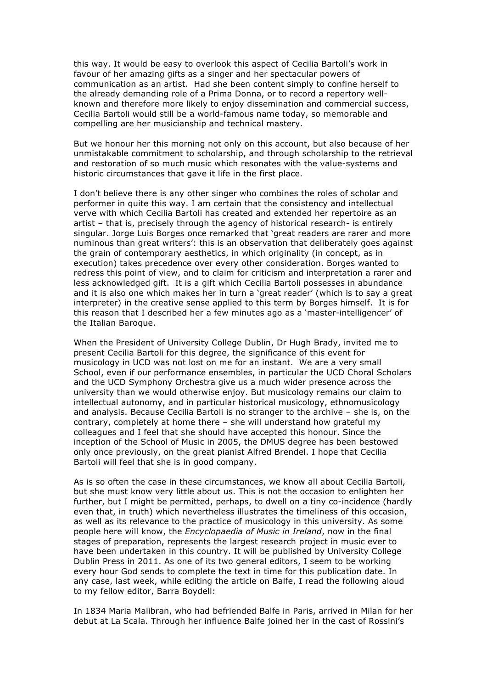this way. It would be easy to overlook this aspect of Cecilia Bartoli's work in favour of her amazing gifts as a singer and her spectacular powers of communication as an artist. Had she been content simply to confine herself to the already demanding role of a Prima Donna, or to record a repertory wellknown and therefore more likely to enjoy dissemination and commercial success, Cecilia Bartoli would still be a world-famous name today, so memorable and compelling are her musicianship and technical mastery.

But we honour her this morning not only on this account, but also because of her unmistakable commitment to scholarship, and through scholarship to the retrieval and restoration of so much music which resonates with the value-systems and historic circumstances that gave it life in the first place.

I don't believe there is any other singer who combines the roles of scholar and performer in quite this way. I am certain that the consistency and intellectual verve with which Cecilia Bartoli has created and extended her repertoire as an artist – that is, precisely through the agency of historical research- is entirely singular. Jorge Luis Borges once remarked that 'great readers are rarer and more numinous than great writers': this is an observation that deliberately goes against the grain of contemporary aesthetics, in which originality (in concept, as in execution) takes precedence over every other consideration. Borges wanted to redress this point of view, and to claim for criticism and interpretation a rarer and less acknowledged gift. It is a gift which Cecilia Bartoli possesses in abundance and it is also one which makes her in turn a 'great reader' (which is to say a great interpreter) in the creative sense applied to this term by Borges himself. It is for this reason that I described her a few minutes ago as a 'master-intelligencer' of the Italian Baroque.

When the President of University College Dublin, Dr Hugh Brady, invited me to present Cecilia Bartoli for this degree, the significance of this event for musicology in UCD was not lost on me for an instant. We are a very small School, even if our performance ensembles, in particular the UCD Choral Scholars and the UCD Symphony Orchestra give us a much wider presence across the university than we would otherwise enjoy. But musicology remains our claim to intellectual autonomy, and in particular historical musicology, ethnomusicology and analysis. Because Cecilia Bartoli is no stranger to the archive – she is, on the contrary, completely at home there – she will understand how grateful my colleagues and I feel that she should have accepted this honour. Since the inception of the School of Music in 2005, the DMUS degree has been bestowed only once previously, on the great pianist Alfred Brendel. I hope that Cecilia Bartoli will feel that she is in good company.

As is so often the case in these circumstances, we know all about Cecilia Bartoli, but she must know very little about us. This is not the occasion to enlighten her further, but I might be permitted, perhaps, to dwell on a tiny co-incidence (hardly even that, in truth) which nevertheless illustrates the timeliness of this occasion, as well as its relevance to the practice of musicology in this university. As some people here will know, the *Encyclopaedia of Music in Ireland*, now in the final stages of preparation, represents the largest research project in music ever to have been undertaken in this country. It will be published by University College Dublin Press in 2011. As one of its two general editors, I seem to be working every hour God sends to complete the text in time for this publication date. In any case, last week, while editing the article on Balfe, I read the following aloud to my fellow editor, Barra Boydell:

In 1834 Maria Malibran, who had befriended Balfe in Paris, arrived in Milan for her debut at La Scala. Through her influence Balfe joined her in the cast of Rossini's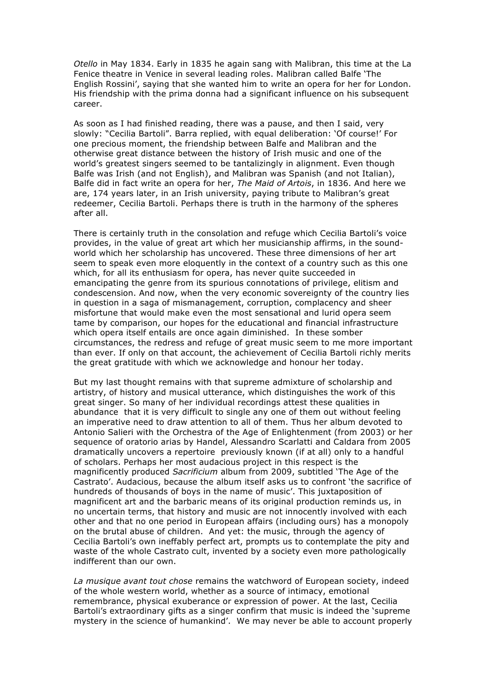*Otello* in May 1834. Early in 1835 he again sang with Malibran, this time at the La Fenice theatre in Venice in several leading roles. Malibran called Balfe 'The English Rossini', saying that she wanted him to write an opera for her for London. His friendship with the prima donna had a significant influence on his subsequent career.

As soon as I had finished reading, there was a pause, and then I said, very slowly: "Cecilia Bartoli". Barra replied, with equal deliberation: 'Of course!' For one precious moment, the friendship between Balfe and Malibran and the otherwise great distance between the history of Irish music and one of the world's greatest singers seemed to be tantalizingly in alignment. Even though Balfe was Irish (and not English), and Malibran was Spanish (and not Italian), Balfe did in fact write an opera for her, *The Maid of Artois*, in 1836. And here we are, 174 years later, in an Irish university, paying tribute to Malibran's great redeemer, Cecilia Bartoli. Perhaps there is truth in the harmony of the spheres after all.

There is certainly truth in the consolation and refuge which Cecilia Bartoli's voice provides, in the value of great art which her musicianship affirms, in the soundworld which her scholarship has uncovered. These three dimensions of her art seem to speak even more eloquently in the context of a country such as this one which, for all its enthusiasm for opera, has never quite succeeded in emancipating the genre from its spurious connotations of privilege, elitism and condescension. And now, when the very economic sovereignty of the country lies in question in a saga of mismanagement, corruption, complacency and sheer misfortune that would make even the most sensational and lurid opera seem tame by comparison, our hopes for the educational and financial infrastructure which opera itself entails are once again diminished. In these somber circumstances, the redress and refuge of great music seem to me more important than ever. If only on that account, the achievement of Cecilia Bartoli richly merits the great gratitude with which we acknowledge and honour her today.

But my last thought remains with that supreme admixture of scholarship and artistry, of history and musical utterance, which distinguishes the work of this great singer. So many of her individual recordings attest these qualities in abundance that it is very difficult to single any one of them out without feeling an imperative need to draw attention to all of them. Thus her album devoted to Antonio Salieri with the Orchestra of the Age of Enlightenment (from 2003) or her sequence of oratorio arias by Handel, Alessandro Scarlatti and Caldara from 2005 dramatically uncovers a repertoire previously known (if at all) only to a handful of scholars. Perhaps her most audacious project in this respect is the magnificently produced *Sacrificium* album from 2009, subtitled 'The Age of the Castrato'. Audacious, because the album itself asks us to confront 'the sacrifice of hundreds of thousands of boys in the name of music'. This juxtaposition of magnificent art and the barbaric means of its original production reminds us, in no uncertain terms, that history and music are not innocently involved with each other and that no one period in European affairs (including ours) has a monopoly on the brutal abuse of children. And yet: the music, through the agency of Cecilia Bartoli's own ineffably perfect art, prompts us to contemplate the pity and waste of the whole Castrato cult, invented by a society even more pathologically indifferent than our own.

*La musique avant tout chose* remains the watchword of European society, indeed of the whole western world, whether as a source of intimacy, emotional remembrance, physical exuberance or expression of power. At the last, Cecilia Bartoli's extraordinary gifts as a singer confirm that music is indeed the 'supreme mystery in the science of humankind'. We may never be able to account properly